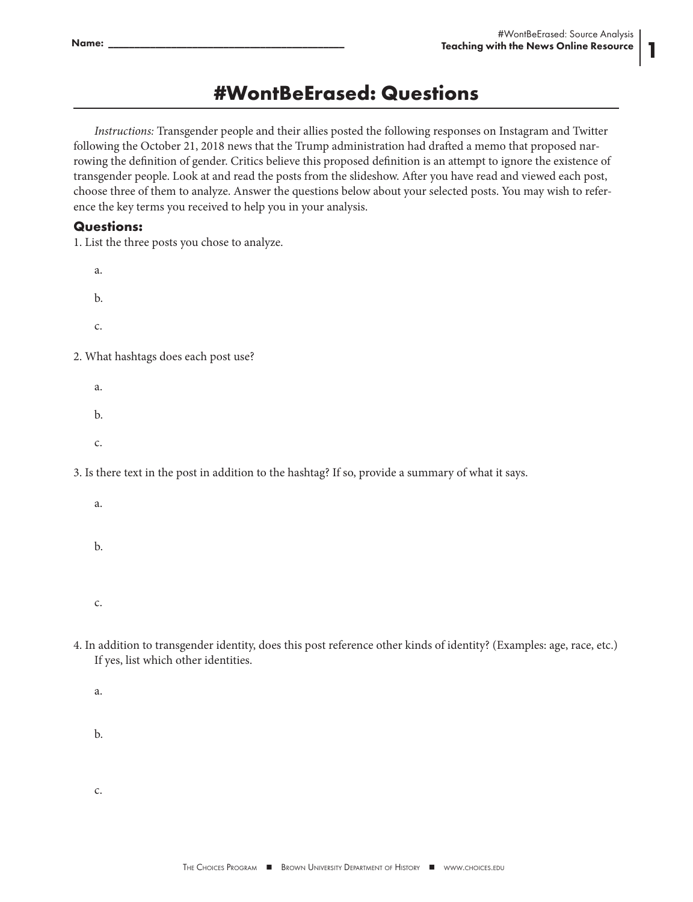1

## **#WontBeErased: Questions**

*Instructions:* Transgender people and their allies posted the following responses on Instagram and Twitter following the October 21, 2018 news that the Trump administration had drafted a memo that proposed narrowing the definition of gender. Critics believe this proposed definition is an attempt to ignore the existence of transgender people. Look at and read the posts from the slideshow. After you have read and viewed each post, choose three of them to analyze. Answer the questions below about your selected posts. You may wish to reference the key terms you received to help you in your analysis.

## **Questions:**

1. List the three posts you chose to analyze.

- a. b. c. 2. What hashtags does each post use?
	- a. b. c.

3. Is there text in the post in addition to the hashtag? If so, provide a summary of what it says.

- a.
- b.

c.

- 4. In addition to transgender identity, does this post reference other kinds of identity? (Examples: age, race, etc.) If yes, list which other identities.
	- a.
	- b.
	- c.